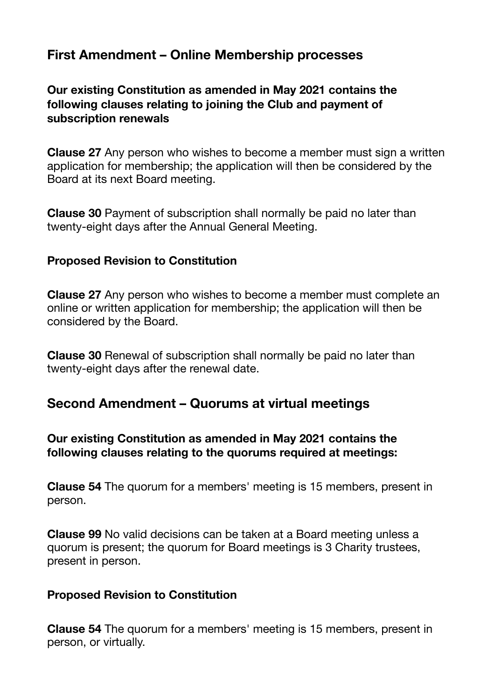# **First Amendment – Online Membership processes**

## **Our existing Constitution as amended in May 2021 contains the following clauses relating to joining the Club and payment of subscription renewals**

**Clause 27** Any person who wishes to become a member must sign a written application for membership; the application will then be considered by the Board at its next Board meeting.

**Clause 30** Payment of subscription shall normally be paid no later than twenty-eight days after the Annual General Meeting.

### **Proposed Revision to Constitution**

**Clause 27** Any person who wishes to become a member must complete an online or written application for membership; the application will then be considered by the Board.

**Clause 30** Renewal of subscription shall normally be paid no later than twenty-eight days after the renewal date.

# **Second Amendment – Quorums at virtual meetings**

## **Our existing Constitution as amended in May 2021 contains the following clauses relating to the quorums required at meetings:**

**Clause 54** The quorum for a members' meeting is 15 members, present in person.

**Clause 99** No valid decisions can be taken at a Board meeting unless a quorum is present; the quorum for Board meetings is 3 Charity trustees, present in person.

#### **Proposed Revision to Constitution**

**Clause 54** The quorum for a members' meeting is 15 members, present in person, or virtually.